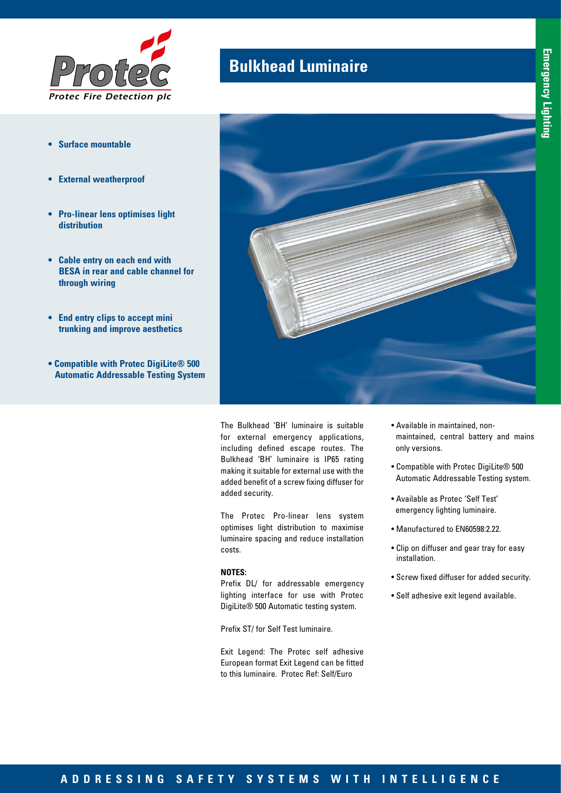

- **• Surface mountable**
- **• External weatherproof**
- **• Pro-linear lens optimises light distribution**
- **• Cable entry on each end with BESA in rear and cable channel for through wiring**
- **• End entry clips to accept mini trunking and improve aesthetics**
- **Compatible with Protec DigiLite® 500 Automatic Addressable Testing System**

## **Bulkhead Luminaire**



The Bulkhead 'BH' luminaire is suitable for external emergency applications, including defined escape routes. The Bulkhead 'BH' luminaire is IP65 rating making it suitable for external use with the added benefit of a screw fixing diffuser for added security.

The Protec Pro-linear lens system optimises light distribution to maximise luminaire spacing and reduce installation costs.

## **NOTES:**

Prefix DL/ for addressable emergency lighting interface for use with Protec DigiLite® 500 Automatic testing system.

Prefix ST/ for Self Test luminaire.

Exit Legend: The Protec self adhesive European format Exit Legend can be fitted to this luminaire. Protec Ref: Self/Euro

- Available in maintained, nonmaintained, central battery and mains only versions.
- Compatible with Protec DigiLite® 500 Automatic Addressable Testing system.
- Available as Protec 'Self Test' emergency lighting luminaire.
- Manufactured to EN60598:2.22.
- Clip on diffuser and gear tray for easy installation.
- Screw fixed diffuser for added security.
- Self adhesive exit legend available.